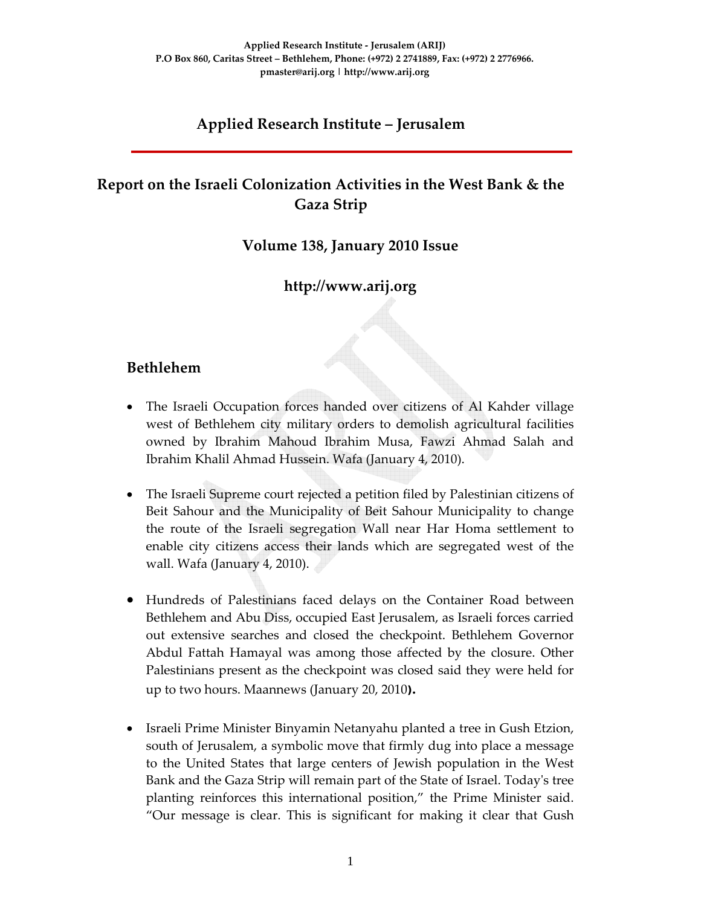# **Applied Research Institute – Jerusalem**

# **Report on the Israeli Colonization Activities in the West Bank & the Gaza Strip**

#### **Volume 138, January 2010 Issue**

### **http://www.arij.org**

#### **Bethlehem**

- The Israeli Occupation forces handed over citizens of Al Kahder village west of Bethlehem city military orders to demolish agricultural facilities owned by Ibrahim Mahoud Ibrahim Musa, Fawzi Ahmad Salah and Ibrahim Khalil Ahmad Hussein. Wafa (January 4, 2010).
- The Israeli Supreme court rejected a petition filed by Palestinian citizens of Beit Sahour and the Municipality of Beit Sahour Municipality to change the route of the Israeli segregation Wall near Har Homa settlement to enable city citizens access their lands which are segregated west of the wall. Wafa (January 4, 2010).
- Hundreds of Palestinians faced delays on the Container Road between Bethlehem and Abu Diss, occupied East Jerusalem, as Israeli forces carried out extensive searches and closed the checkpoint. Bethlehem Governor Abdul Fattah Hamayal was among those affected by the closure. Other Palestinians present as the checkpoint was closed said they were held for up to two hours. Maannews (January 20, 2010**).**
- Israeli Prime Minister Binyamin Netanyahu planted a tree in Gush Etzion, south of Jerusalem, a symbolic move that firmly dug into place a message to the United States that large centers of Jewish population in the West Bank and the Gaza Strip will remain part of the State of Israel. Todayʹs tree planting reinforces this international position," the Prime Minister said. "Our message is clear. This is significant for making it clear that Gush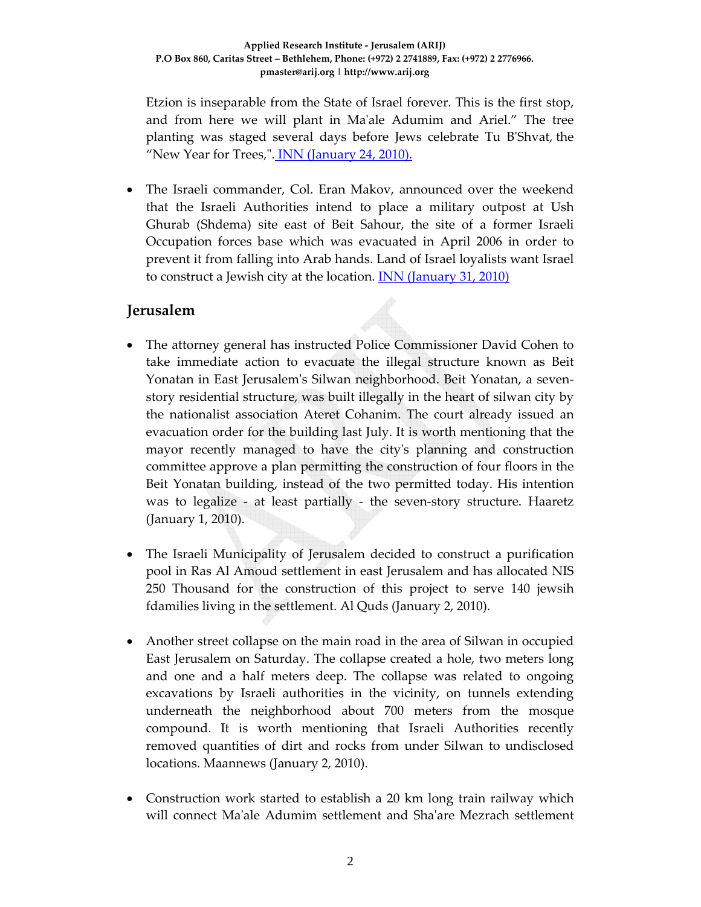Etzion is inseparable from the State of Israel forever. This is the first stop, and from here we will plant in Maʹale Adumim and Ariel." The tree planting was staged several days before Jews celebrate Tu BʹShvat, the "New Year for Trees,". INN (January 24, 2010).

• The Israeli commander, Col. Eran Makov, announced over the weekend that the Israeli Authorities intend to place a military outpost at Ush Ghurab (Shdema) site east of Beit Sahour, the site of a former Israeli Occupation forces base which was evacuated in April 2006 in order to prevent it from falling into Arab hands. Land of Israel loyalists want Israel to construct a Jewish city at the location. **INN** (January 31, 2010)

#### **Jerusalem**

- The attorney general has instructed Police Commissioner David Cohen to take immediate action to evacuate the illegal structure known as Beit Yonatan in East Jerusalemʹs Silwan neighborhood. Beit Yonatan, a seven‐ story residential structure, was built illegally in the heart of silwan city by the nationalist association Ateret Cohanim. The court already issued an evacuation order for the building last July. It is worth mentioning that the mayor recently managed to have the cityʹs planning and construction committee approve a plan permitting the construction of four floors in the Beit Yonatan building, instead of the two permitted today. His intention was to legalize - at least partially - the seven-story structure. Haaretz (January 1, 2010).
- The Israeli Municipality of Jerusalem decided to construct a purification pool in Ras Al Amoud settlement in east Jerusalem and has allocated NIS 250 Thousand for the construction of this project to serve 140 jewsih fdamilies living in the settlement. Al Quds (January 2, 2010).
- Another street collapse on the main road in the area of Silwan in occupied East Jerusalem on Saturday. The collapse created a hole, two meters long and one and a half meters deep. The collapse was related to ongoing excavations by Israeli authorities in the vicinity, on tunnels extending underneath the neighborhood about 700 meters from the mosque compound. It is worth mentioning that Israeli Authorities recently removed quantities of dirt and rocks from under Silwan to undisclosed locations. Maannews (January 2, 2010).
- Construction work started to establish a 20 km long train railway which will connect Maʹale Adumim settlement and Shaʹare Mezrach settlement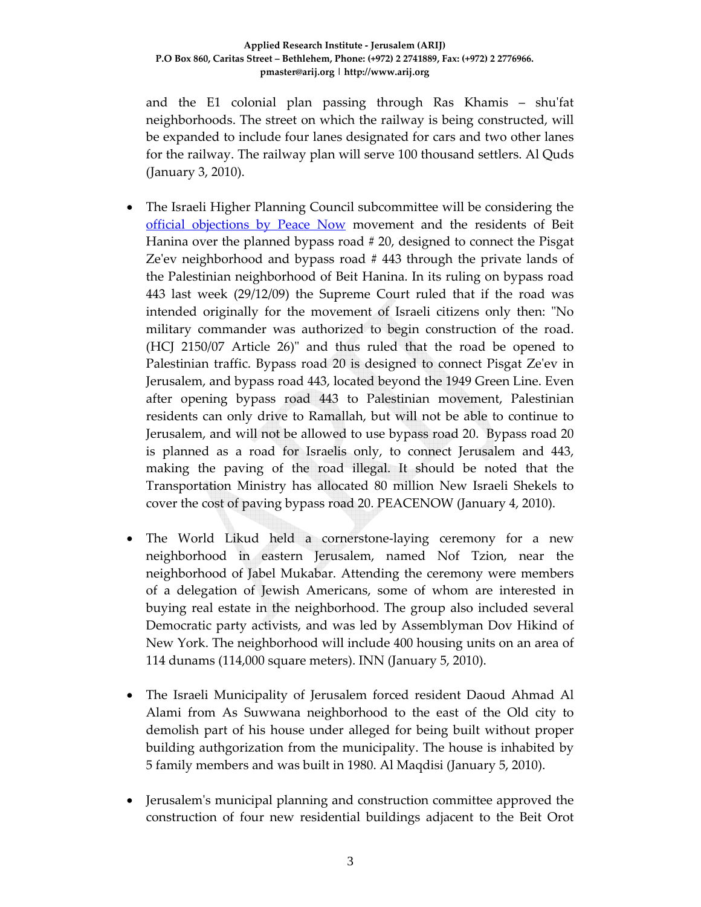and the E1 colonial plan passing through Ras Khamis – shu'fat neighborhoods. The street on which the railway is being constructed, will be expanded to include four lanes designated for cars and two other lanes for the railway. The railway plan will serve 100 thousand settlers. Al Quds (January 3, 2010).

- The Israeli Higher Planning Council subcommittee will be considering the official objections by Peace Now movement and the residents of Beit Hanina over the planned bypass road # 20, designed to connect the Pisgat Ze'ev neighborhood and bypass road  $#$  443 through the private lands of the Palestinian neighborhood of Beit Hanina. In its ruling on bypass road 443 last week (29/12/09) the Supreme Court ruled that if the road was intended originally for the movement of Israeli citizens only then: "No military commander was authorized to begin construction of the road. (HCJ 2150/07 Article 26)" and thus ruled that the road be opened to Palestinian traffic. Bypass road 20 is designed to connect Pisgat Zeʹev in Jerusalem, and bypass road 443, located beyond the 1949 Green Line. Even after opening bypass road 443 to Palestinian movement, Palestinian residents can only drive to Ramallah, but will not be able to continue to Jerusalem, and will not be allowed to use bypass road 20. Bypass road 20 is planned as a road for Israelis only, to connect Jerusalem and 443, making the paving of the road illegal. It should be noted that the Transportation Ministry has allocated 80 million New Israeli Shekels to cover the cost of paving bypass road 20. PEACENOW (January 4, 2010).
- The World Likud held a cornerstone-laying ceremony for a new neighborhood in eastern Jerusalem, named Nof Tzion, near the neighborhood of Jabel Mukabar. Attending the ceremony were members of a delegation of Jewish Americans, some of whom are interested in buying real estate in the neighborhood. The group also included several Democratic party activists, and was led by Assemblyman Dov Hikind of New York. The neighborhood will include 400 housing units on an area of 114 dunams (114,000 square meters). INN (January 5, 2010).
- The Israeli Municipality of Jerusalem forced resident Daoud Ahmad Al Alami from As Suwwana neighborhood to the east of the Old city to demolish part of his house under alleged for being built without proper building authgorization from the municipality. The house is inhabited by 5 family members and was built in 1980. Al Maqdisi (January 5, 2010).
- Jerusalem's municipal planning and construction committee approved the construction of four new residential buildings adjacent to the Beit Orot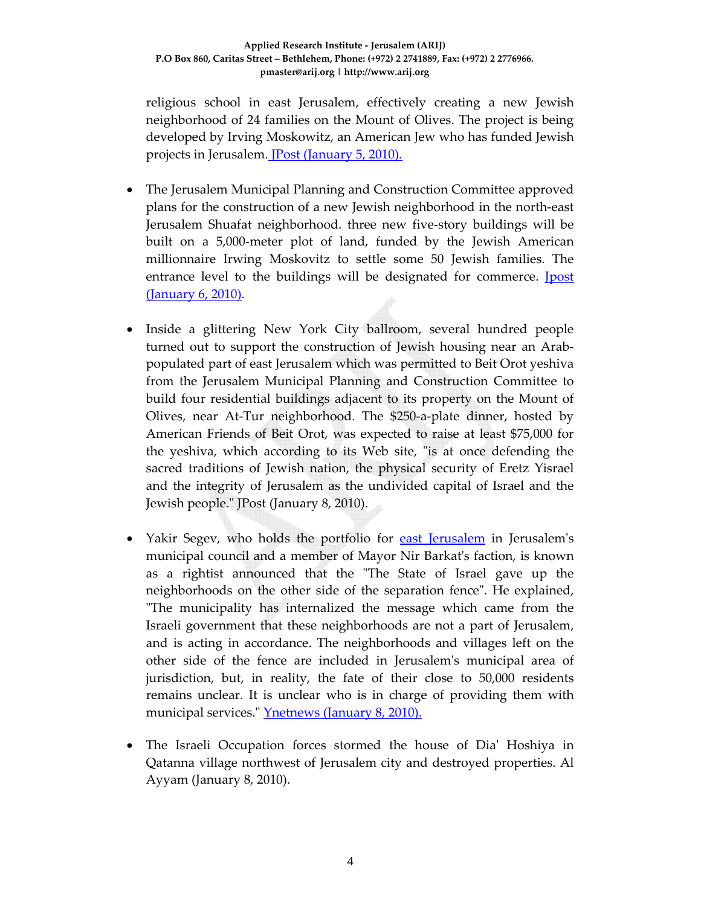religious school in east Jerusalem, effectively creating a new Jewish neighborhood of 24 families on the Mount of Olives. The project is being developed by Irving Moskowitz, an American Jew who has funded Jewish projects in Jerusalem. JPost (January 5, 2010).

- The Jerusalem Municipal Planning and Construction Committee approved plans for the construction of a new Jewish neighborhood in the north‐east Jerusalem Shuafat neighborhood. three new five‐story buildings will be built on a 5,000‐meter plot of land, funded by the Jewish American millionnaire Irwing Moskovitz to settle some 50 Jewish families. The entrance level to the buildings will be designated for commerce. **Ipost** (January 6, 2010).
- Inside a glittering New York City ballroom, several hundred people turned out to support the construction of Jewish housing near an Arab‐ populated part of east Jerusalem which was permitted to Beit Orot yeshiva from the Jerusalem Municipal Planning and Construction Committee to build four residential buildings adjacent to its property on the Mount of Olives, near At‐Tur neighborhood. The \$250‐a‐plate dinner, hosted by American Friends of Beit Orot, was expected to raise at least \$75,000 for the yeshiva, which according to its Web site, "is at once defending the sacred traditions of Jewish nation, the physical security of Eretz Yisrael and the integrity of Jerusalem as the undivided capital of Israel and the Jewish people.ʺ JPost (January 8, 2010).
- Yakir Segev, who holds the portfolio for east Jerusalem in Jerusalem's municipal council and a member of Mayor Nir Barkat's faction, is known as a rightist announced that the "The State of Israel gave up the neighborhoods on the other side of the separation fence". He explained, ʺThe municipality has internalized the message which came from the Israeli government that these neighborhoods are not a part of Jerusalem, and is acting in accordance. The neighborhoods and villages left on the other side of the fence are included in Jerusalemʹs municipal area of jurisdiction, but, in reality, the fate of their close to 50,000 residents remains unclear. It is unclear who is in charge of providing them with municipal services." Ynetnews (January 8, 2010).
- The Israeli Occupation forces stormed the house of Dia' Hoshiya in Qatanna village northwest of Jerusalem city and destroyed properties. Al Ayyam (January 8, 2010).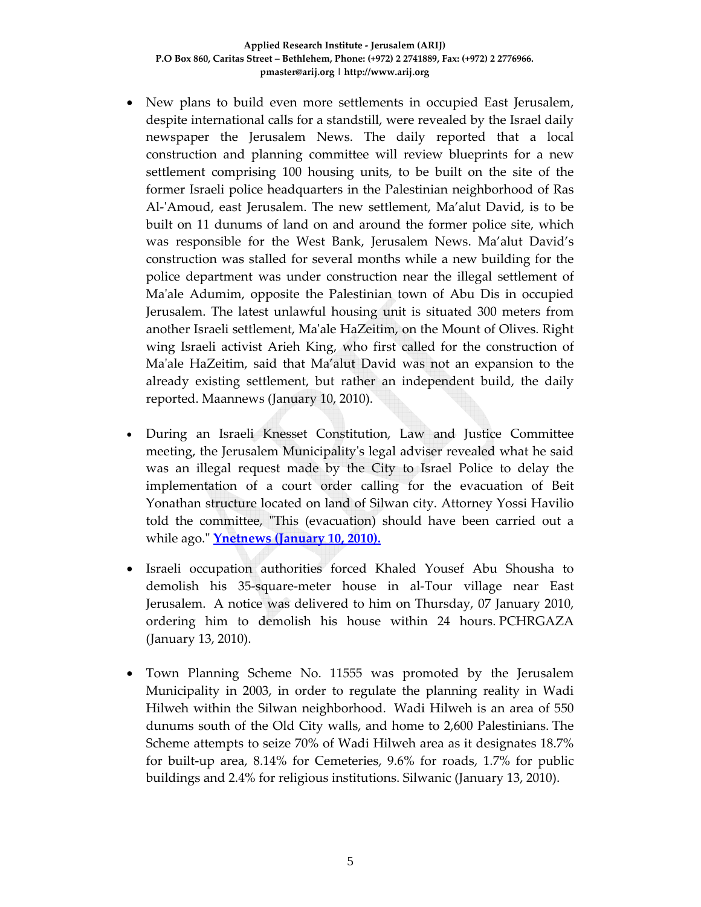- New plans to build even more settlements in occupied East Jerusalem, despite international calls for a standstill, were revealed by the Israel daily newspaper the Jerusalem News. The daily reported that a local construction and planning committee will review blueprints for a new settlement comprising 100 housing units, to be built on the site of the former Israeli police headquarters in the Palestinian neighborhood of Ras Al-'Amoud, east Jerusalem. The new settlement, Ma'alut David, is to be built on 11 dunums of land on and around the former police site, which was responsible for the West Bank, Jerusalem News. Ma'alut David's construction was stalled for several months while a new building for the police department was under construction near the illegal settlement of Maʹale Adumim, opposite the Palestinian town of Abu Dis in occupied Jerusalem. The latest unlawful housing unit is situated 300 meters from another Israeli settlement, Maʹale HaZeitim, on the Mount of Olives. Right wing Israeli activist Arieh King, who first called for the construction of Maʹale HaZeitim, said that Ma'alut David was not an expansion to the already existing settlement, but rather an independent build, the daily reported. Maannews (January 10, 2010).
- During an Israeli Knesset Constitution, Law and Justice Committee meeting, the Jerusalem Municipalityʹs legal adviser revealed what he said was an illegal request made by the City to Israel Police to delay the implementation of a court order calling for the evacuation of Beit Yonathan structure located on land of Silwan city. Attorney Yossi Havilio told the committee, "This (evacuation) should have been carried out a while ago.ʺ **Ynetnews (January 10, 2010).**
- Israeli occupation authorities forced Khaled Yousef Abu Shousha to demolish his 35‐square‐meter house in al‐Tour village near East Jerusalem. A notice was delivered to him on Thursday, 07 January 2010, ordering him to demolish his house within 24 hours. PCHRGAZA (January 13, 2010).
- Town Planning Scheme No. 11555 was promoted by the Jerusalem Municipality in 2003, in order to regulate the planning reality in Wadi Hilweh within the Silwan neighborhood. Wadi Hilweh is an area of 550 dunums south of the Old City walls, and home to 2,600 Palestinians. The Scheme attempts to seize 70% of Wadi Hilweh area as it designates 18.7% for built‐up area, 8.14% for Cemeteries, 9.6% for roads, 1.7% for public buildings and 2.4% for religious institutions. Silwanic (January 13, 2010).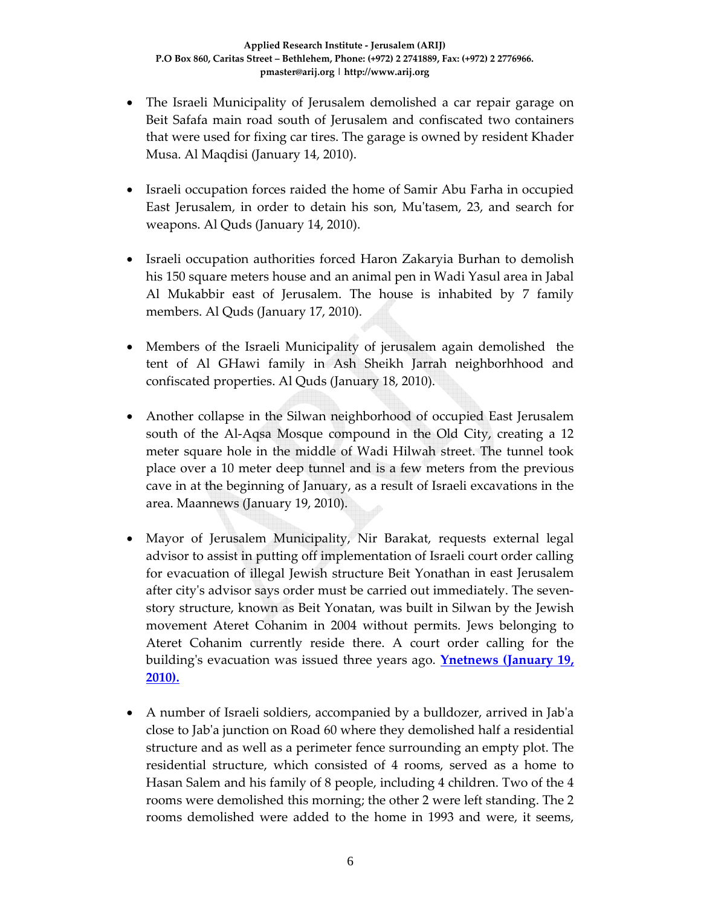- The Israeli Municipality of Jerusalem demolished a car repair garage on Beit Safafa main road south of Jerusalem and confiscated two containers that were used for fixing car tires. The garage is owned by resident Khader Musa. Al Maqdisi (January 14, 2010).
- Israeli occupation forces raided the home of Samir Abu Farha in occupied East Jerusalem, in order to detain his son, Muʹtasem, 23, and search for weapons. Al Quds (January 14, 2010).
- Israeli occupation authorities forced Haron Zakaryia Burhan to demolish his 150 square meters house and an animal pen in Wadi Yasul area in Jabal Al Mukabbir east of Jerusalem. The house is inhabited by 7 family members. Al Quds (January 17, 2010).
- Members of the Israeli Municipality of jerusalem again demolished the tent of Al GHawi family in Ash Sheikh Jarrah neighborhhood and confiscated properties. Al Quds (January 18, 2010).
- Another collapse in the Silwan neighborhood of occupied East Jerusalem south of the Al-Aqsa Mosque compound in the Old City, creating a 12 meter square hole in the middle of Wadi Hilwah street. The tunnel took place over a 10 meter deep tunnel and is a few meters from the previous cave in at the beginning of January, as a result of Israeli excavations in the area. Maannews (January 19, 2010).
- Mayor of Jerusalem Municipality, Nir Barakat, requests external legal advisor to assist in putting off implementation of Israeli court order calling for evacuation of illegal Jewish structure Beit Yonathan in east Jerusalem after cityʹs advisor says order must be carried out immediately. The seven‐ story structure, known as Beit Yonatan, was built in Silwan by the Jewish movement Ateret Cohanim in 2004 without permits. Jews belonging to Ateret Cohanim currently reside there. A court order calling for the buildingʹs evacuation was issued three years ago. **Ynetnews (January 19, 2010).**
- A number of Israeli soldiers, accompanied by a bulldozer, arrived in Jab'a close to Jabʹa junction on Road 60 where they demolished half a residential structure and as well as a perimeter fence surrounding an empty plot. The residential structure, which consisted of 4 rooms, served as a home to Hasan Salem and his family of 8 people, including 4 children. Two of the 4 rooms were demolished this morning; the other 2 were left standing. The 2 rooms demolished were added to the home in 1993 and were, it seems,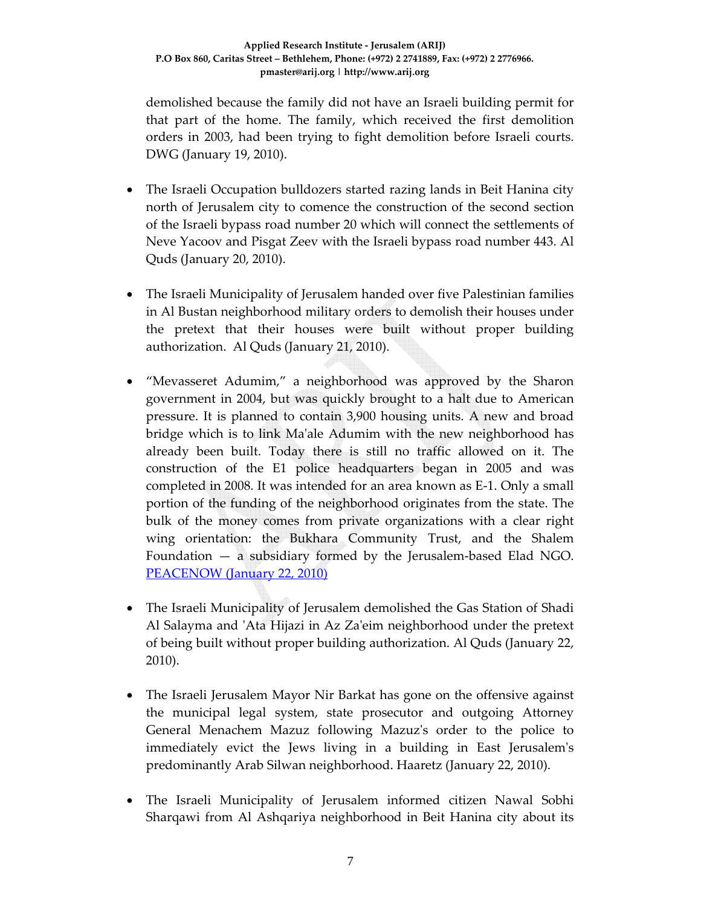demolished because the family did not have an Israeli building permit for that part of the home. The family, which received the first demolition orders in 2003, had been trying to fight demolition before Israeli courts. DWG (January 19, 2010).

- The Israeli Occupation bulldozers started razing lands in Beit Hanina city north of Jerusalem city to comence the construction of the second section of the Israeli bypass road number 20 which will connect the settlements of Neve Yacoov and Pisgat Zeev with the Israeli bypass road number 443. Al Quds (January 20, 2010).
- The Israeli Municipality of Jerusalem handed over five Palestinian families in Al Bustan neighborhood military orders to demolish their houses under the pretext that their houses were built without proper building authorization. Al Quds (January 21, 2010).
- "Mevasseret Adumim," a neighborhood was approved by the Sharon government in 2004, but was quickly brought to a halt due to American pressure. It is planned to contain 3,900 housing units. A new and broad bridge which is to link Ma'ale Adumim with the new neighborhood has already been built. Today there is still no traffic allowed on it. The construction of the E1 police headquarters began in 2005 and was completed in 2008. It was intended for an area known as E‐1. Only a small portion of the funding of the neighborhood originates from the state. The bulk of the money comes from private organizations with a clear right wing orientation: the Bukhara Community Trust, and the Shalem Foundation  $-$  a subsidiary formed by the Jerusalem-based Elad NGO. PEACENOW (January 22, 2010)
- The Israeli Municipality of Jerusalem demolished the Gas Station of Shadi Al Salayma and ʹAta Hijazi in Az Zaʹeim neighborhood under the pretext of being built without proper building authorization. Al Quds (January 22, 2010).
- The Israeli Jerusalem Mayor Nir Barkat has gone on the offensive against the municipal legal system, state prosecutor and outgoing Attorney General Menachem Mazuz following Mazuzʹs order to the police to immediately evict the Jews living in a building in East Jerusalemʹs predominantly Arab Silwan neighborhood. Haaretz (January 22, 2010).
- The Israeli Municipality of Jerusalem informed citizen Nawal Sobhi Sharqawi from Al Ashqariya neighborhood in Beit Hanina city about its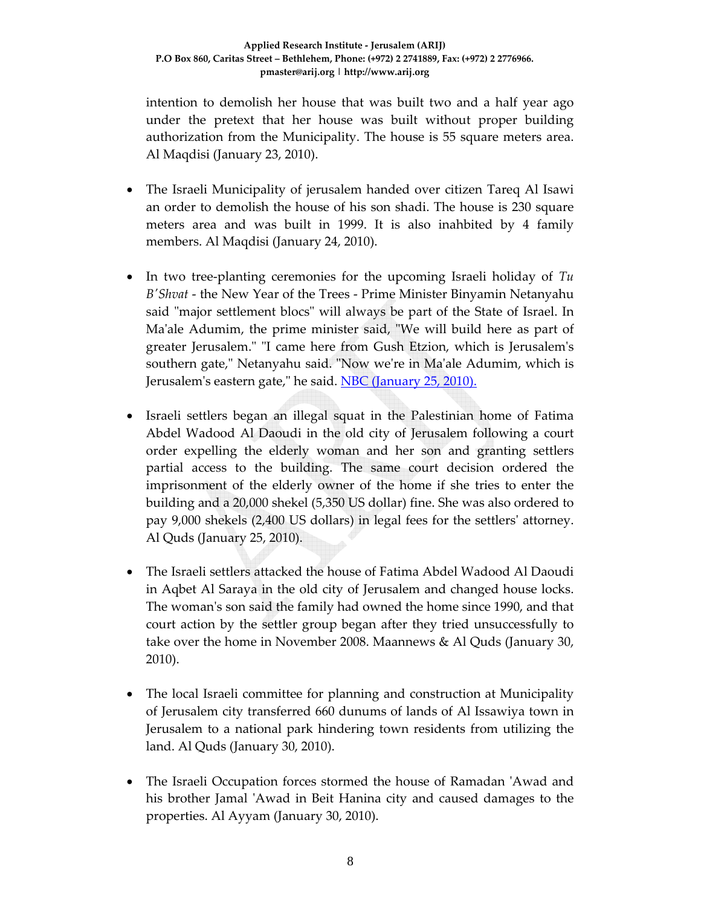intention to demolish her house that was built two and a half year ago under the pretext that her house was built without proper building authorization from the Municipality. The house is 55 square meters area. Al Maqdisi (January 23, 2010).

- The Israeli Municipality of jerusalem handed over citizen Tareq Al Isawi an order to demolish the house of his son shadi. The house is 230 square meters area and was built in 1999. It is also inahbited by 4 family members. Al Maqdisi (January 24, 2010).
- In two tree-planting ceremonies for the upcoming Israeli holiday of *Tu BʹShvat* ‐ the New Year of the Trees ‐ Prime Minister Binyamin Netanyahu said "major settlement blocs" will always be part of the State of Israel. In Ma'ale Adumim, the prime minister said, "We will build here as part of greater Jerusalem." "I came here from Gush Etzion, which is Jerusalem's southern gate," Netanyahu said. "Now we're in Ma'ale Adumim, which is Jerusalem's eastern gate," he said. NBC (January 25, 2010).
- Israeli settlers began an illegal squat in the Palestinian home of Fatima Abdel Wadood Al Daoudi in the old city of Jerusalem following a court order expelling the elderly woman and her son and granting settlers partial access to the building. The same court decision ordered the imprisonment of the elderly owner of the home if she tries to enter the building and a 20,000 shekel (5,350 US dollar) fine. She was also ordered to pay 9,000 shekels (2,400 US dollars) in legal fees for the settlersʹ attorney. Al Quds (January 25, 2010).
- The Israeli settlers attacked the house of Fatima Abdel Wadood Al Daoudi in Aqbet Al Saraya in the old city of Jerusalem and changed house locks. The womanʹs son said the family had owned the home since 1990, and that court action by the settler group began after they tried unsuccessfully to take over the home in November 2008. Maannews & Al Quds (January 30, 2010).
- The local Israeli committee for planning and construction at Municipality of Jerusalem city transferred 660 dunums of lands of Al Issawiya town in Jerusalem to a national park hindering town residents from utilizing the land. Al Quds (January 30, 2010).
- The Israeli Occupation forces stormed the house of Ramadan 'Awad and his brother Jamal 'Awad in Beit Hanina city and caused damages to the properties. Al Ayyam (January 30, 2010).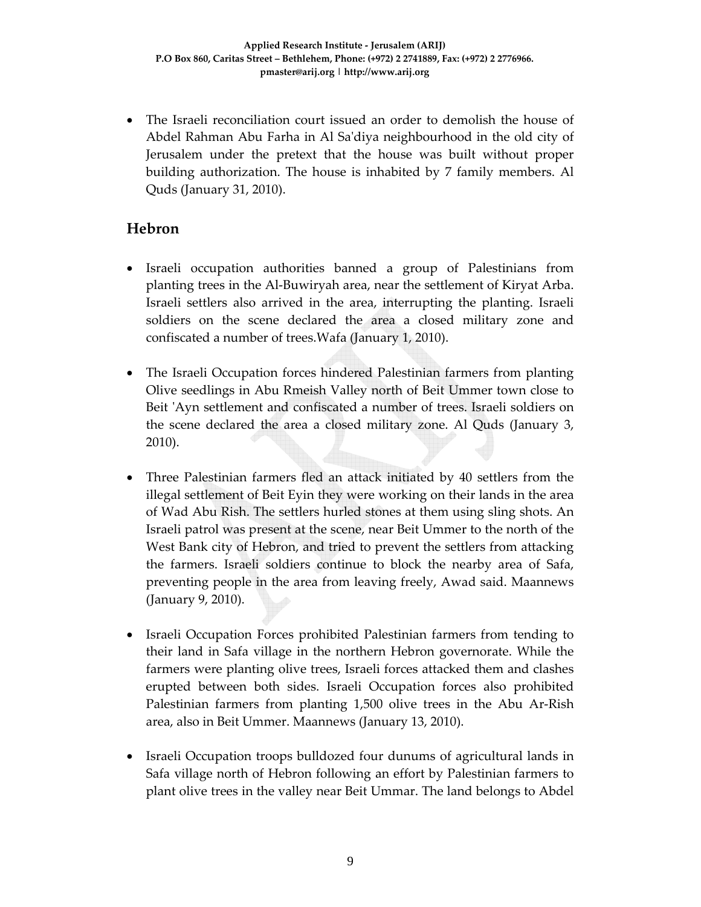• The Israeli reconciliation court issued an order to demolish the house of Abdel Rahman Abu Farha in Al Saʹdiya neighbourhood in the old city of Jerusalem under the pretext that the house was built without proper building authorization. The house is inhabited by 7 family members. Al Quds (January 31, 2010).

### **Hebron**

- Israeli occupation authorities banned a group of Palestinians from planting trees in the Al‐Buwiryah area, near the settlement of Kiryat Arba. Israeli settlers also arrived in the area, interrupting the planting. Israeli soldiers on the scene declared the area a closed military zone and confiscated a number of trees.Wafa (January 1, 2010).
- The Israeli Occupation forces hindered Palestinian farmers from planting Olive seedlings in Abu Rmeish Valley north of Beit Ummer town close to Beit 'Ayn settlement and confiscated a number of trees. Israeli soldiers on the scene declared the area a closed military zone. Al Quds (January 3, 2010).
- Three Palestinian farmers fled an attack initiated by 40 settlers from the illegal settlement of Beit Eyin they were working on their lands in the area of Wad Abu Rish. The settlers hurled stones at them using sling shots. An Israeli patrol was present at the scene, near Beit Ummer to the north of the West Bank city of Hebron, and tried to prevent the settlers from attacking the farmers. Israeli soldiers continue to block the nearby area of Safa, preventing people in the area from leaving freely, Awad said. Maannews (January 9, 2010).
- Israeli Occupation Forces prohibited Palestinian farmers from tending to their land in Safa village in the northern Hebron governorate. While the farmers were planting olive trees, Israeli forces attacked them and clashes erupted between both sides. Israeli Occupation forces also prohibited Palestinian farmers from planting 1,500 olive trees in the Abu Ar‐Rish area, also in Beit Ummer. Maannews (January 13, 2010).
- Israeli Occupation troops bulldozed four dunums of agricultural lands in Safa village north of Hebron following an effort by Palestinian farmers to plant olive trees in the valley near Beit Ummar. The land belongs to Abdel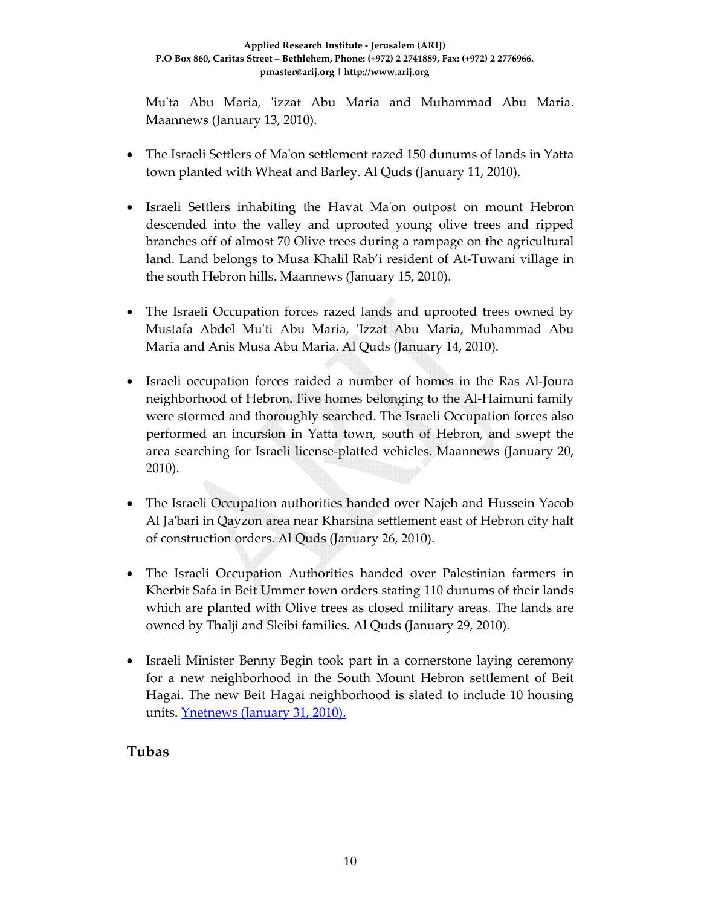Mu'ta Abu Maria, 'izzat Abu Maria and Muhammad Abu Maria. Maannews (January 13, 2010).

- The Israeli Settlers of Ma'on settlement razed 150 dunums of lands in Yatta town planted with Wheat and Barley. Al Quds (January 11, 2010).
- Israeli Settlers inhabiting the Havat Ma'on outpost on mount Hebron descended into the valley and uprooted young olive trees and ripped branches off of almost 70 Olive trees during a rampage on the agricultural land. Land belongs to Musa Khalil Rab'i resident of At‐Tuwani village in the south Hebron hills. Maannews (January 15, 2010).
- The Israeli Occupation forces razed lands and uprooted trees owned by Mustafa Abdel Mu'ti Abu Maria, 'Izzat Abu Maria, Muhammad Abu Maria and Anis Musa Abu Maria. Al Quds (January 14, 2010).
- Israeli occupation forces raided a number of homes in the Ras Al-Joura neighborhood of Hebron. Five homes belonging to the Al-Haimuni family were stormed and thoroughly searched. The Israeli Occupation forces also performed an incursion in Yatta town, south of Hebron, and swept the area searching for Israeli license‐platted vehicles. Maannews (January 20, 2010).
- The Israeli Occupation authorities handed over Najeh and Hussein Yacob Al Jaʹbari in Qayzon area near Kharsina settlement east of Hebron city halt of construction orders. Al Quds (January 26, 2010).
- The Israeli Occupation Authorities handed over Palestinian farmers in Kherbit Safa in Beit Ummer town orders stating 110 dunums of their lands which are planted with Olive trees as closed military areas. The lands are owned by Thalji and Sleibi families. Al Quds (January 29, 2010).
- Israeli Minister Benny Begin took part in a cornerstone laying ceremony for a new neighborhood in the South Mount Hebron settlement of Beit Hagai. The new Beit Hagai neighborhood is slated to include 10 housing units. Ynetnews (January 31, 2010).

# **Tubas**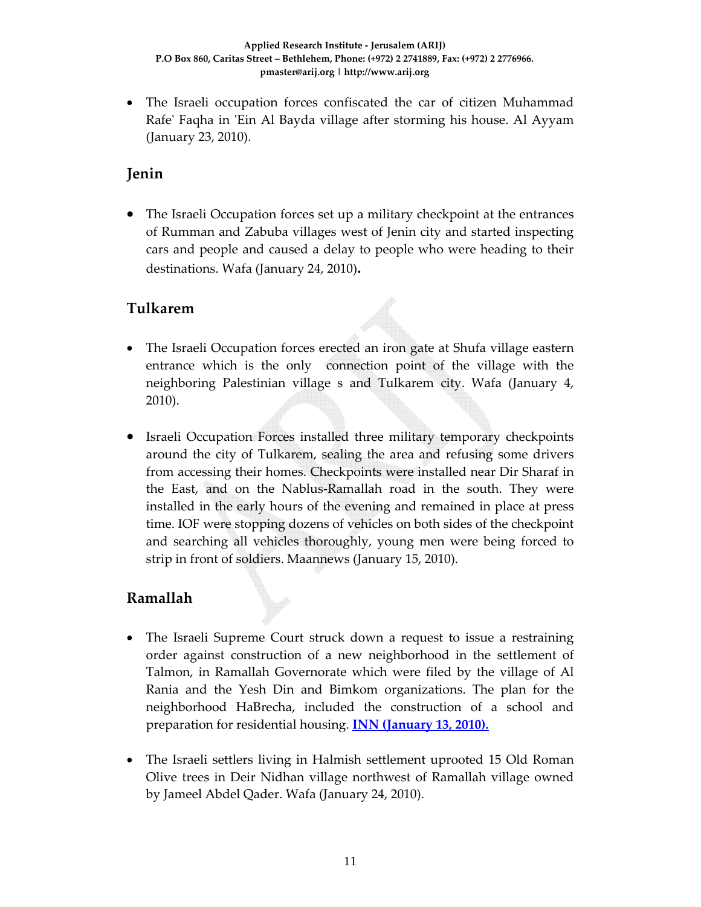• The Israeli occupation forces confiscated the car of citizen Muhammad Rafe' Faqha in 'Ein Al Bayda village after storming his house. Al Ayyam (January 23, 2010).

### **Jenin**

• The Israeli Occupation forces set up a military checkpoint at the entrances of Rumman and Zabuba villages west of Jenin city and started inspecting cars and people and caused a delay to people who were heading to their destinations. Wafa (January 24, 2010)**.**

### **Tulkarem**

- The Israeli Occupation forces erected an iron gate at Shufa village eastern entrance which is the only connection point of the village with the neighboring Palestinian village s and Tulkarem city. Wafa (January 4, 2010).
- Israeli Occupation Forces installed three military temporary checkpoints around the city of Tulkarem, sealing the area and refusing some drivers from accessing their homes. Checkpoints were installed near Dir Sharaf in the East, and on the Nablus‐Ramallah road in the south. They were installed in the early hours of the evening and remained in place at press time. IOF were stopping dozens of vehicles on both sides of the checkpoint and searching all vehicles thoroughly, young men were being forced to strip in front of soldiers. Maannews (January 15, 2010).

### **Ramallah**

- The Israeli Supreme Court struck down a request to issue a restraining order against construction of a new neighborhood in the settlement of Talmon, in Ramallah Governorate which were filed by the village of Al Rania and the Yesh Din and Bimkom organizations. The plan for the neighborhood HaBrecha, included the construction of a school and preparation for residential housing. **INN (January 13, 2010).**
- The Israeli settlers living in Halmish settlement uprooted 15 Old Roman Olive trees in Deir Nidhan village northwest of Ramallah village owned by Jameel Abdel Qader. Wafa (January 24, 2010).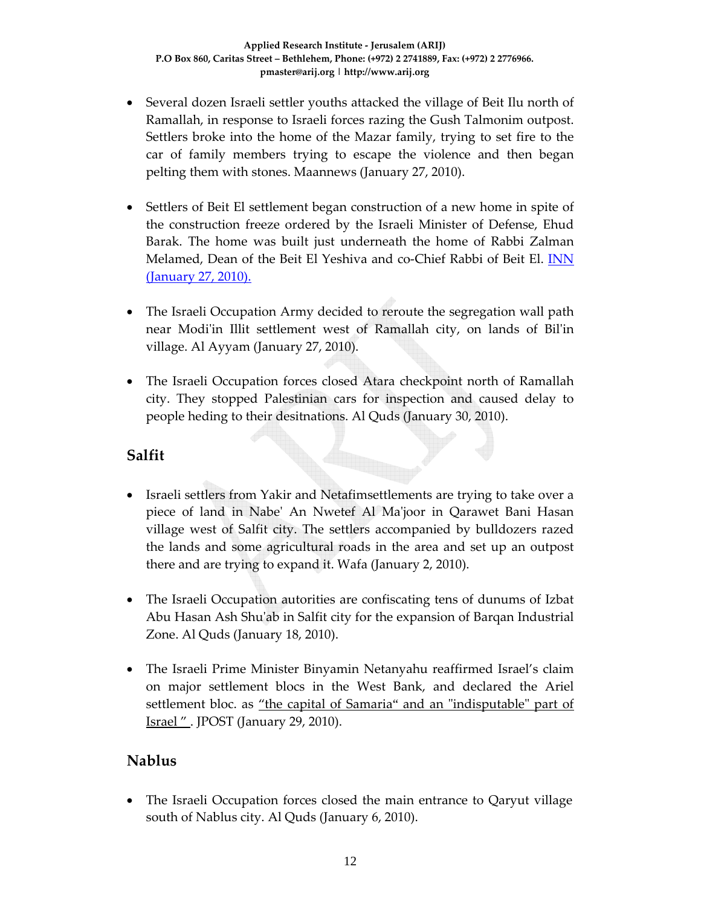- Several dozen Israeli settler youths attacked the village of Beit Ilu north of Ramallah, in response to Israeli forces razing the Gush Talmonim outpost. Settlers broke into the home of the Mazar family, trying to set fire to the car of family members trying to escape the violence and then began pelting them with stones. Maannews (January 27, 2010).
- Settlers of Beit El settlement began construction of a new home in spite of the construction freeze ordered by the Israeli Minister of Defense, Ehud Barak. The home was built just underneath the home of Rabbi Zalman Melamed, Dean of the Beit El Yeshiva and co‐Chief Rabbi of Beit El. INN (January 27, 2010).
- The Israeli Occupation Army decided to reroute the segregation wall path near Modiʹin Illit settlement west of Ramallah city, on lands of Bilʹin village. Al Ayyam (January 27, 2010).
- The Israeli Occupation forces closed Atara checkpoint north of Ramallah city. They stopped Palestinian cars for inspection and caused delay to people heding to their desitnations. Al Quds (January 30, 2010).

#### **Salfit**

- Israeli settlers from Yakir and Netafimsettlements are trying to take over a piece of land in Nabeʹ An Nwetef Al Maʹjoor in Qarawet Bani Hasan village west of Salfit city. The settlers accompanied by bulldozers razed the lands and some agricultural roads in the area and set up an outpost there and are trying to expand it. Wafa (January 2, 2010).
- The Israeli Occupation autorities are confiscating tens of dunums of Izbat Abu Hasan Ash Shuʹab in Salfit city for the expansion of Barqan Industrial Zone. Al Quds (January 18, 2010).
- The Israeli Prime Minister Binyamin Netanyahu reaffirmed Israel's claim on major settlement blocs in the West Bank, and declared the Ariel settlement bloc. as "the capital of Samaria" and an "indisputable" part of **Israel "** . JPOST (January 29, 2010).

### **Nablus**

• The Israeli Occupation forces closed the main entrance to Qaryut village south of Nablus city. Al Quds (January 6, 2010).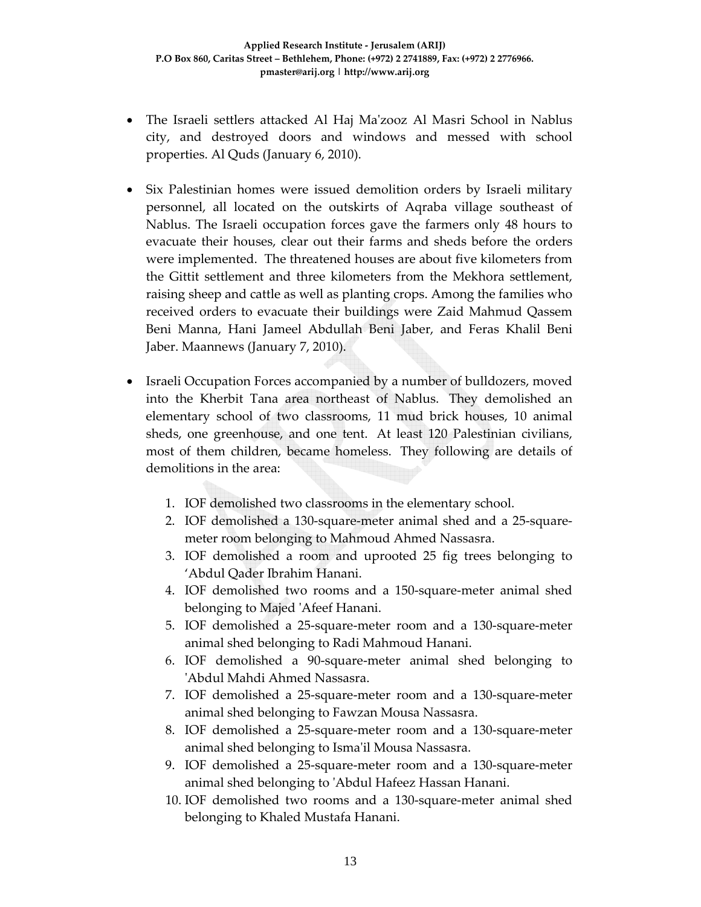- The Israeli settlers attacked Al Haj Maʹzooz Al Masri School in Nablus city, and destroyed doors and windows and messed with school properties. Al Quds (January 6, 2010).
- Six Palestinian homes were issued demolition orders by Israeli military personnel, all located on the outskirts of Aqraba village southeast of Nablus. The Israeli occupation forces gave the farmers only 48 hours to evacuate their houses, clear out their farms and sheds before the orders were implemented. The threatened houses are about five kilometers from the Gittit settlement and three kilometers from the Mekhora settlement, raising sheep and cattle as well as planting crops. Among the families who received orders to evacuate their buildings were Zaid Mahmud Qassem Beni Manna, Hani Jameel Abdullah Beni Jaber, and Feras Khalil Beni Jaber. Maannews (January 7, 2010).
- Israeli Occupation Forces accompanied by a number of bulldozers, moved into the Kherbit Tana area northeast of Nablus. They demolished an elementary school of two classrooms, 11 mud brick houses, 10 animal sheds, one greenhouse, and one tent. At least 120 Palestinian civilians, most of them children, became homeless. They following are details of demolitions in the area:
	- 1. IOF demolished two classrooms in the elementary school.
	- 2. IOF demolished a 130‐square‐meter animal shed and a 25‐square‐ meter room belonging to Mahmoud Ahmed Nassasra.
	- 3. IOF demolished a room and uprooted 25 fig trees belonging to 'Abdul Qader Ibrahim Hanani.
	- 4. IOF demolished two rooms and a 150‐square‐meter animal shed belonging to Majed ʹAfeef Hanani.
	- 5. IOF demolished a 25‐square‐meter room and a 130‐square‐meter animal shed belonging to Radi Mahmoud Hanani.
	- 6. IOF demolished a 90‐square‐meter animal shed belonging to ʹAbdul Mahdi Ahmed Nassasra.
	- 7. IOF demolished a 25‐square‐meter room and a 130‐square‐meter animal shed belonging to Fawzan Mousa Nassasra.
	- 8. IOF demolished a 25‐square‐meter room and a 130‐square‐meter animal shed belonging to Ismaʹil Mousa Nassasra.
	- 9. IOF demolished a 25‐square‐meter room and a 130‐square‐meter animal shed belonging to ʹAbdul Hafeez Hassan Hanani.
	- 10. IOF demolished two rooms and a 130‐square‐meter animal shed belonging to Khaled Mustafa Hanani.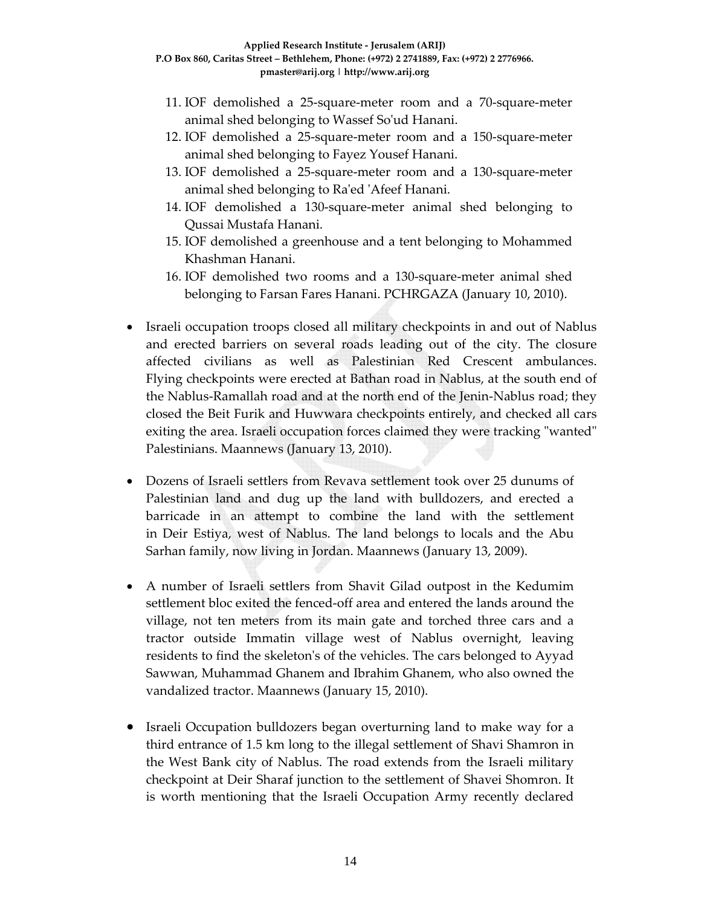- 11. IOF demolished a 25‐square‐meter room and a 70‐square‐meter animal shed belonging to Wassef Soʹud Hanani.
- 12. IOF demolished a 25‐square‐meter room and a 150‐square‐meter animal shed belonging to Fayez Yousef Hanani.
- 13. IOF demolished a 25‐square‐meter room and a 130‐square‐meter animal shed belonging to Raʹed ʹAfeef Hanani.
- 14. IOF demolished a 130‐square‐meter animal shed belonging to Qussai Mustafa Hanani.
- 15. IOF demolished a greenhouse and a tent belonging to Mohammed Khashman Hanani.
- 16. IOF demolished two rooms and a 130‐square‐meter animal shed belonging to Farsan Fares Hanani. PCHRGAZA (January 10, 2010).
- Israeli occupation troops closed all military checkpoints in and out of Nablus and erected barriers on several roads leading out of the city. The closure affected civilians as well as Palestinian Red Crescent ambulances. Flying checkpoints were erected at Bathan road in Nablus, at the south end of the Nablus‐Ramallah road and at the north end of the Jenin‐Nablus road; they closed the Beit Furik and Huwwara checkpoints entirely, and checked all cars exiting the area. Israeli occupation forces claimed they were tracking "wanted" Palestinians. Maannews (January 13, 2010).
- Dozens of Israeli settlers from Revava settlement took over 25 dunums of Palestinian land and dug up the land with bulldozers, and erected a barricade in an attempt to combine the land with the settlement in Deir Estiya, west of Nablus. The land belongs to locals and the Abu Sarhan family, now living in Jordan. Maannews (January 13, 2009).
- A number of Israeli settlers from Shavit Gilad outpost in the Kedumim settlement bloc exited the fenced‐off area and entered the lands around the village, not ten meters from its main gate and torched three cars and a tractor outside Immatin village west of Nablus overnight, leaving residents to find the skeletonʹs of the vehicles. The cars belonged to Ayyad Sawwan, Muhammad Ghanem and Ibrahim Ghanem, who also owned the vandalized tractor. Maannews (January 15, 2010).
- Israeli Occupation bulldozers began overturning land to make way for a third entrance of 1.5 km long to the illegal settlement of Shavi Shamron in the West Bank city of Nablus. The road extends from the Israeli military checkpoint at Deir Sharaf junction to the settlement of Shavei Shomron. It is worth mentioning that the Israeli Occupation Army recently declared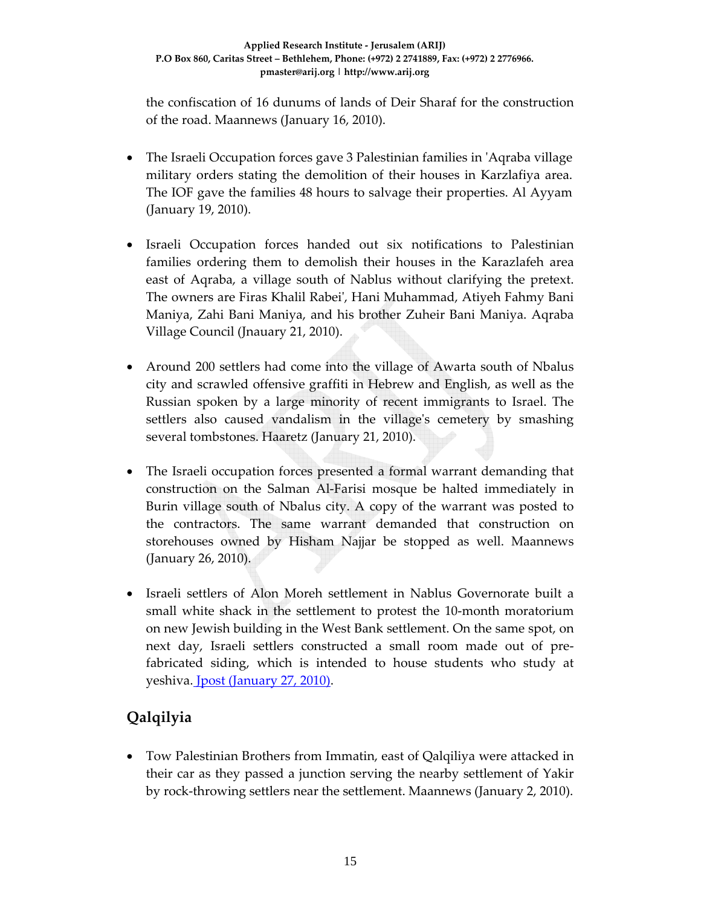the confiscation of 16 dunums of lands of Deir Sharaf for the construction of the road. Maannews (January 16, 2010).

- The Israeli Occupation forces gave 3 Palestinian families in 'Aqraba village military orders stating the demolition of their houses in Karzlafiya area. The IOF gave the families 48 hours to salvage their properties. Al Ayyam (January 19, 2010).
- Israeli Occupation forces handed out six notifications to Palestinian families ordering them to demolish their houses in the Karazlafeh area east of Aqraba, a village south of Nablus without clarifying the pretext. The owners are Firas Khalil Rabeiʹ, Hani Muhammad, Atiyeh Fahmy Bani Maniya, Zahi Bani Maniya, and his brother Zuheir Bani Maniya. Aqraba Village Council (Jnauary 21, 2010).
- Around 200 settlers had come into the village of Awarta south of Nbalus city and scrawled offensive graffiti in Hebrew and English, as well as the Russian spoken by a large minority of recent immigrants to Israel. The settlers also caused vandalism in the village's cemetery by smashing several tombstones. Haaretz (January 21, 2010).
- The Israeli occupation forces presented a formal warrant demanding that construction on the Salman Al‐Farisi mosque be halted immediately in Burin village south of Nbalus city. A copy of the warrant was posted to the contractors. The same warrant demanded that construction on storehouses owned by Hisham Najjar be stopped as well. Maannews (January 26, 2010).
- Israeli settlers of Alon Moreh settlement in Nablus Governorate built a small white shack in the settlement to protest the 10-month moratorium on new Jewish building in the West Bank settlement. On the same spot, on next day, Israeli settlers constructed a small room made out of pre‐ fabricated siding, which is intended to house students who study at yeshiva. **J**post (January 27, 2010).

# **Qalqilyia**

• Tow Palestinian Brothers from Immatin, east of Qalqiliya were attacked in their car as they passed a junction serving the nearby settlement of Yakir by rock‐throwing settlers near the settlement. Maannews (January 2, 2010).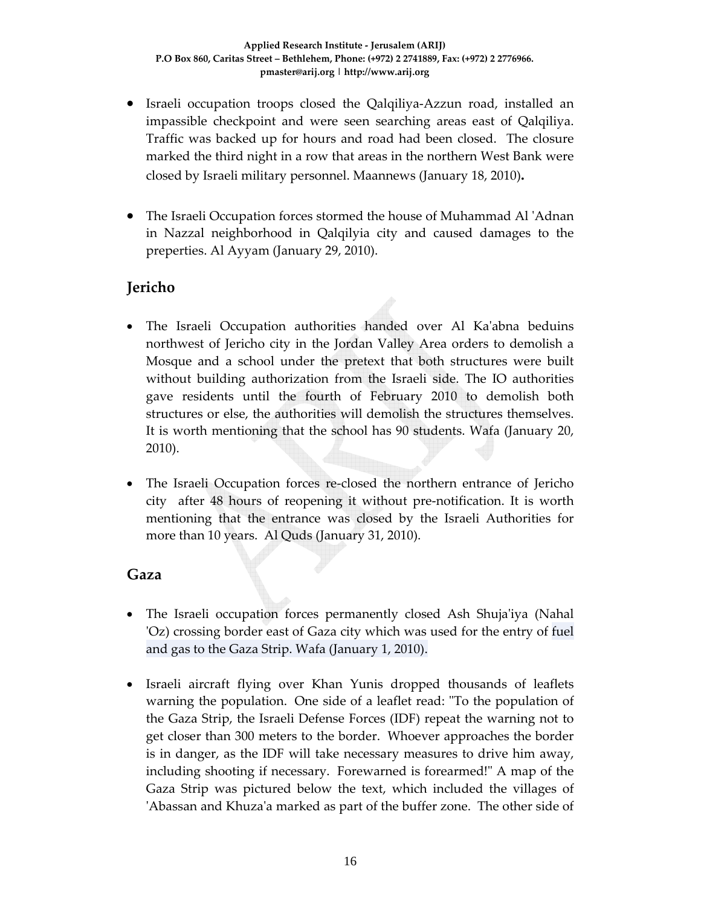- Israeli occupation troops closed the Qalqiliya‐Azzun road, installed an impassible checkpoint and were seen searching areas east of Qalqiliya. Traffic was backed up for hours and road had been closed. The closure marked the third night in a row that areas in the northern West Bank were closed by Israeli military personnel. Maannews (January 18, 2010)**.**
- The Israeli Occupation forces stormed the house of Muhammad Al ʹAdnan in Nazzal neighborhood in Qalqilyia city and caused damages to the preperties. Al Ayyam (January 29, 2010).

### **Jericho**

- The Israeli Occupation authorities handed over Al Ka'abna beduins northwest of Jericho city in the Jordan Valley Area orders to demolish a Mosque and a school under the pretext that both structures were built without building authorization from the Israeli side. The IO authorities gave residents until the fourth of February 2010 to demolish both structures or else, the authorities will demolish the structures themselves. It is worth mentioning that the school has 90 students. Wafa (January 20, 2010).
- The Israeli Occupation forces re-closed the northern entrance of Jericho city after 48 hours of reopening it without pre‐notification. It is worth mentioning that the entrance was closed by the Israeli Authorities for more than 10 years. Al Quds (January 31, 2010).

#### **Gaza**

- The Israeli occupation forces permanently closed Ash Shuja'iya (Nahal ʹOz) crossing border east of Gaza city which was used for the entry of fuel and gas to the Gaza Strip. Wafa (January 1, 2010).
- Israeli aircraft flying over Khan Yunis dropped thousands of leaflets warning the population. One side of a leaflet read: "To the population of the Gaza Strip, the Israeli Defense Forces (IDF) repeat the warning not to get closer than 300 meters to the border. Whoever approaches the border is in danger, as the IDF will take necessary measures to drive him away, including shooting if necessary. Forewarned is forearmed!" A map of the Gaza Strip was pictured below the text, which included the villages of ʹAbassan and Khuzaʹa marked as part of the buffer zone. The other side of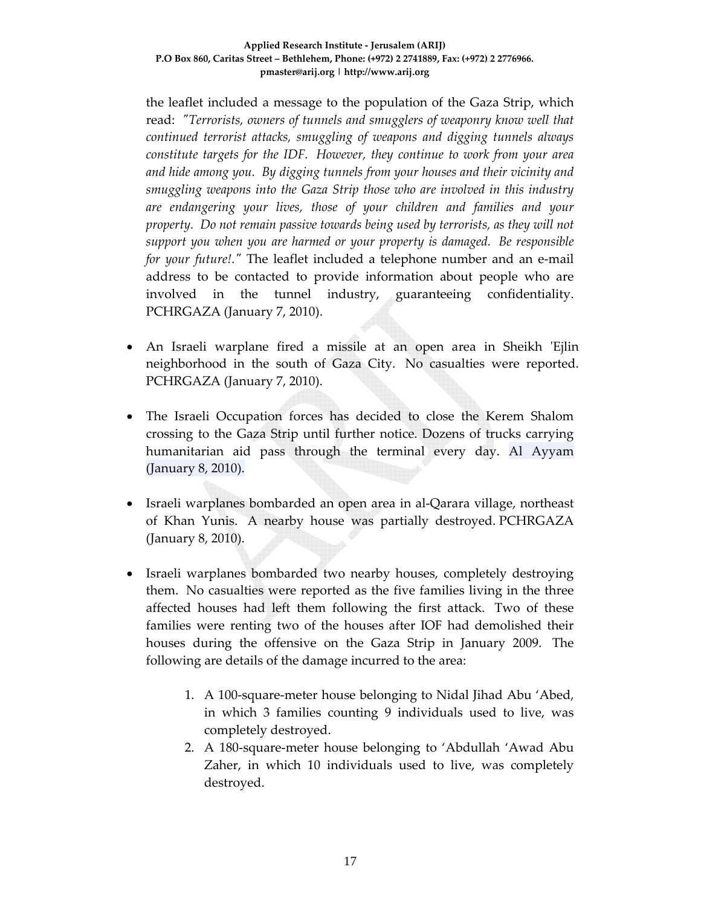the leaflet included a message to the population of the Gaza Strip, which read: *ʺTerrorists, owners of tunnels and smugglers of weaponry know well that continued terrorist attacks, smuggling of weapons and digging tunnels always constitute targets for the IDF. However, they continue to work from your area and hide among you. By digging tunnels from your houses and their vicinity and smuggling weapons into the Gaza Strip those who are involved in this industry are endangering your lives, those of your children and families and your property. Do not remain passive towards being used by terrorists, as they will not support you when you are harmed or your property is damaged. Be responsible for your future!.*<sup>*"*</sup> The leaflet included a telephone number and an e-mail address to be contacted to provide information about people who are involved in the tunnel industry, guaranteeing confidentiality. PCHRGAZA (January 7, 2010).

- An Israeli warplane fired a missile at an open area in Sheikh 'Ejlin neighborhood in the south of Gaza City. No casualties were reported. PCHRGAZA (January 7, 2010).
- The Israeli Occupation forces has decided to close the Kerem Shalom crossing to the Gaza Strip until further notice. Dozens of trucks carrying humanitarian aid pass through the terminal every day. Al Ayyam (January 8, 2010).
- Israeli warplanes bombarded an open area in al-Qarara village, northeast of Khan Yunis. A nearby house was partially destroyed. PCHRGAZA (January 8, 2010).
- Israeli warplanes bombarded two nearby houses, completely destroying them. No casualties were reported as the five families living in the three affected houses had left them following the first attack. Two of these families were renting two of the houses after IOF had demolished their houses during the offensive on the Gaza Strip in January 2009. The following are details of the damage incurred to the area:
	- 1. A 100‐square‐meter house belonging to Nidal Jihad Abu 'Abed, in which 3 families counting 9 individuals used to live, was completely destroyed.
	- 2. A 180‐square‐meter house belonging to 'Abdullah 'Awad Abu Zaher, in which 10 individuals used to live, was completely destroyed.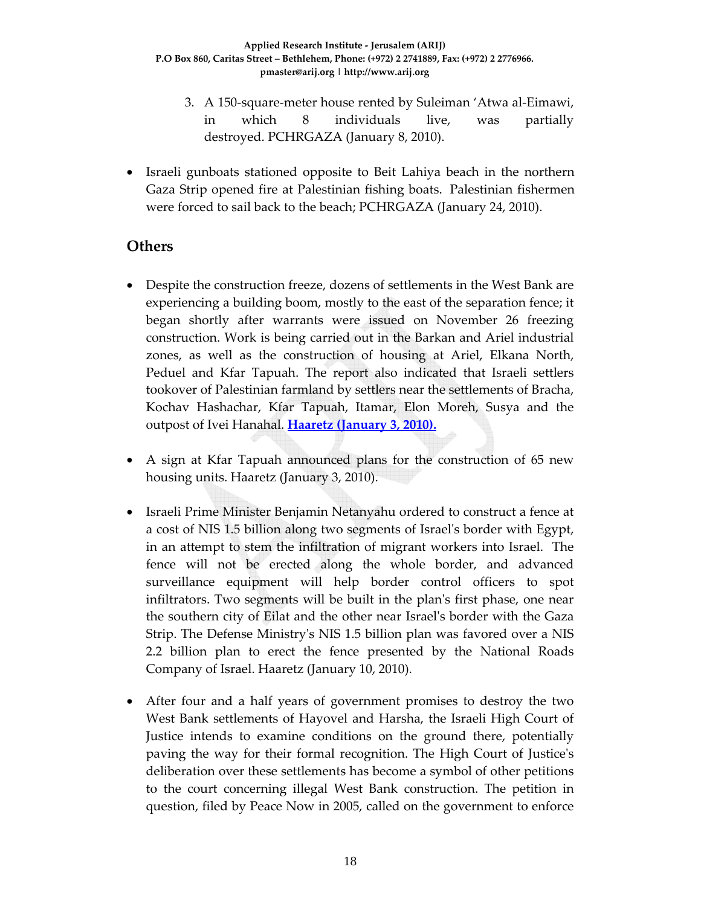- 3. A 150‐square‐meter house rented by Suleiman 'Atwa al‐Eimawi, in which 8 individuals live, was partially destroyed. PCHRGAZA (January 8, 2010).
- Israeli gunboats stationed opposite to Beit Lahiya beach in the northern Gaza Strip opened fire at Palestinian fishing boats. Palestinian fishermen were forced to sail back to the beach; PCHRGAZA (January 24, 2010).

#### **Others**

- Despite the construction freeze, dozens of settlements in the West Bank are experiencing a building boom, mostly to the east of the separation fence; it began shortly after warrants were issued on November 26 freezing construction. Work is being carried out in the Barkan and Ariel industrial zones, as well as the construction of housing at Ariel, Elkana North, Peduel and Kfar Tapuah. The report also indicated that Israeli settlers tookover of Palestinian farmland by settlers near the settlements of Bracha, Kochav Hashachar, Kfar Tapuah, Itamar, Elon Moreh, Susya and the outpost of Ivei Hanahal. **Haaretz (January 3, 2010).**
- A sign at Kfar Tapuah announced plans for the construction of 65 new housing units. Haaretz (January 3, 2010).
- Israeli Prime Minister Benjamin Netanyahu ordered to construct a fence at a cost of NIS 1.5 billion along two segments of Israelʹs border with Egypt, in an attempt to stem the infiltration of migrant workers into Israel. The fence will not be erected along the whole border, and advanced surveillance equipment will help border control officers to spot infiltrators. Two segments will be built in the plan's first phase, one near the southern city of Eilat and the other near Israelʹs border with the Gaza Strip. The Defense Ministryʹs NIS 1.5 billion plan was favored over a NIS 2.2 billion plan to erect the fence presented by the National Roads Company of Israel. Haaretz (January 10, 2010).
- After four and a half years of government promises to destroy the two West Bank settlements of Hayovel and Harsha, the Israeli High Court of Justice intends to examine conditions on the ground there, potentially paving the way for their formal recognition. The High Court of Justiceʹs deliberation over these settlements has become a symbol of other petitions to the court concerning illegal West Bank construction. The petition in question, filed by Peace Now in 2005, called on the government to enforce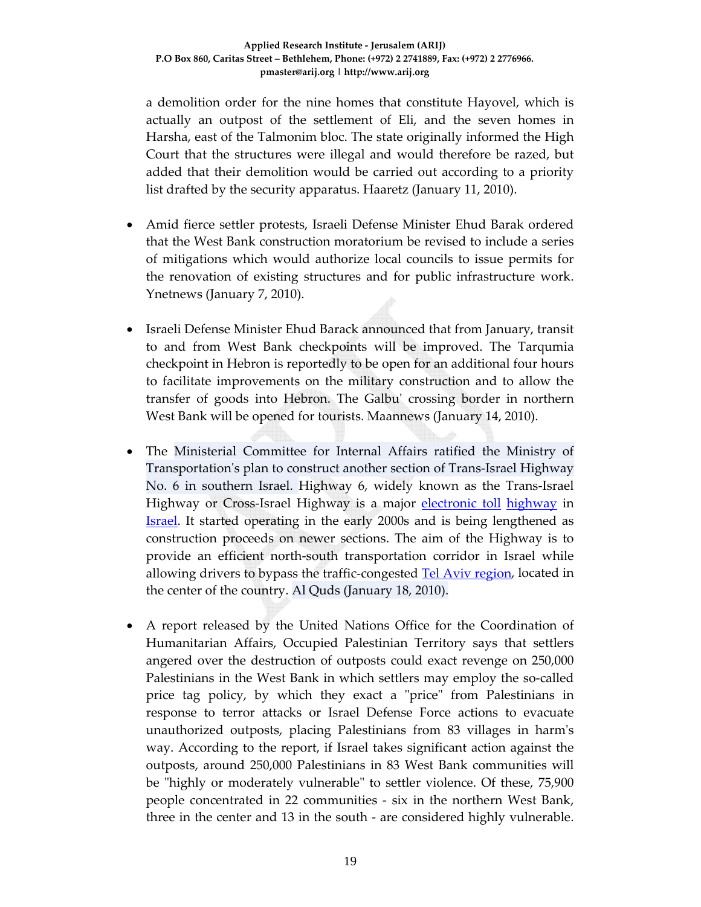a demolition order for the nine homes that constitute Hayovel, which is actually an outpost of the settlement of Eli, and the seven homes in Harsha, east of the Talmonim bloc. The state originally informed the High Court that the structures were illegal and would therefore be razed, but added that their demolition would be carried out according to a priority list drafted by the security apparatus. Haaretz (January 11, 2010).

- Amid fierce settler protests, Israeli Defense Minister Ehud Barak ordered that the West Bank construction moratorium be revised to include a series of mitigations which would authorize local councils to issue permits for the renovation of existing structures and for public infrastructure work. Ynetnews (January 7, 2010).
- Israeli Defense Minister Ehud Barack announced that from January, transit to and from West Bank checkpoints will be improved. The Tarqumia checkpoint in Hebron is reportedly to be open for an additional four hours to facilitate improvements on the military construction and to allow the transfer of goods into Hebron. The Galbuʹ crossing border in northern West Bank will be opened for tourists. Maannews (January 14, 2010).
- The Ministerial Committee for Internal Affairs ratified the Ministry of Transportation's plan to construct another section of Trans-Israel Highway No. 6 in southern Israel. Highway 6, widely known as the Trans‐Israel Highway or Cross‐Israel Highway is a major electronic toll highway in Israel. It started operating in the early 2000s and is being lengthened as construction proceeds on newer sections. The aim of the Highway is to provide an efficient north‐south transportation corridor in Israel while allowing drivers to bypass the traffic‐congested Tel Aviv region, located in the center of the country. Al Quds (January 18, 2010).
- A report released by the United Nations Office for the Coordination of Humanitarian Affairs, Occupied Palestinian Territory says that settlers angered over the destruction of outposts could exact revenge on 250,000 Palestinians in the West Bank in which settlers may employ the so‐called price tag policy, by which they exact a "price" from Palestinians in response to terror attacks or Israel Defense Force actions to evacuate unauthorized outposts, placing Palestinians from 83 villages in harmʹs way. According to the report, if Israel takes significant action against the outposts, around 250,000 Palestinians in 83 West Bank communities will be "highly or moderately vulnerable" to settler violence. Of these, 75,900 people concentrated in 22 communities ‐ six in the northern West Bank, three in the center and 13 in the south ‐ are considered highly vulnerable.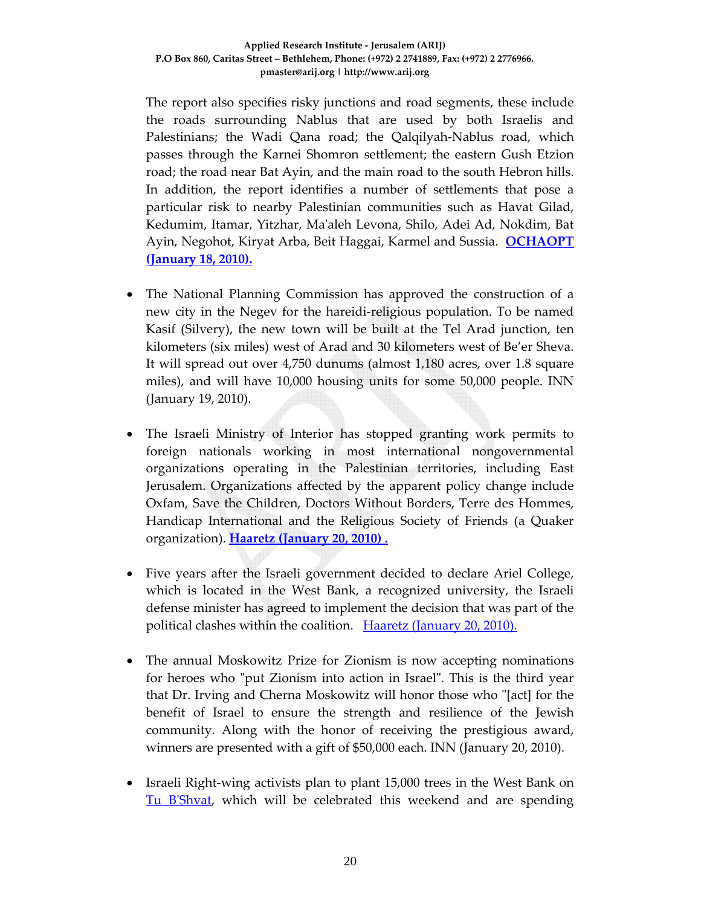The report also specifies risky junctions and road segments, these include the roads surrounding Nablus that are used by both Israelis and Palestinians; the Wadi Qana road; the Qalqilyah‐Nablus road, which passes through the Karnei Shomron settlement; the eastern Gush Etzion road; the road near Bat Ayin, and the main road to the south Hebron hills. In addition, the report identifies a number of settlements that pose a particular risk to nearby Palestinian communities such as Havat Gilad, Kedumim, Itamar, Yitzhar, Maʹaleh Levona, Shilo, Adei Ad, Nokdim, Bat Ayin, Negohot, Kiryat Arba, Beit Haggai, Karmel and Sussia. **OCHAOPT (January 18, 2010).**

- The National Planning Commission has approved the construction of a new city in the Negev for the hareidi‐religious population. To be named Kasif (Silvery), the new town will be built at the Tel Arad junction, ten kilometers (six miles) west of Arad and 30 kilometers west of Be'er Sheva. It will spread out over 4,750 dunums (almost 1,180 acres, over 1.8 square miles), and will have 10,000 housing units for some 50,000 people. INN (January 19, 2010).
- The Israeli Ministry of Interior has stopped granting work permits to foreign nationals working in most international nongovernmental organizations operating in the Palestinian territories, including East Jerusalem. Organizations affected by the apparent policy change include Oxfam, Save the Children, Doctors Without Borders, Terre des Hommes, Handicap International and the Religious Society of Friends (a Quaker organization). **Haaretz (January 20, 2010) .**
- Five years after the Israeli government decided to declare Ariel College, which is located in the West Bank, a recognized university, the Israeli defense minister has agreed to implement the decision that was part of the political clashes within the coalition. Haaretz (January 20, 2010).
- The annual Moskowitz Prize for Zionism is now accepting nominations for heroes who "put Zionism into action in Israel". This is the third year that Dr. Irving and Cherna Moskowitz will honor those who "[act] for the benefit of Israel to ensure the strength and resilience of the Jewish community. Along with the honor of receiving the prestigious award, winners are presented with a gift of \$50,000 each. INN (January 20, 2010).
- Israeli Right‐wing activists plan to plant 15,000 trees in the West Bank on Tu BʹShvat, which will be celebrated this weekend and are spending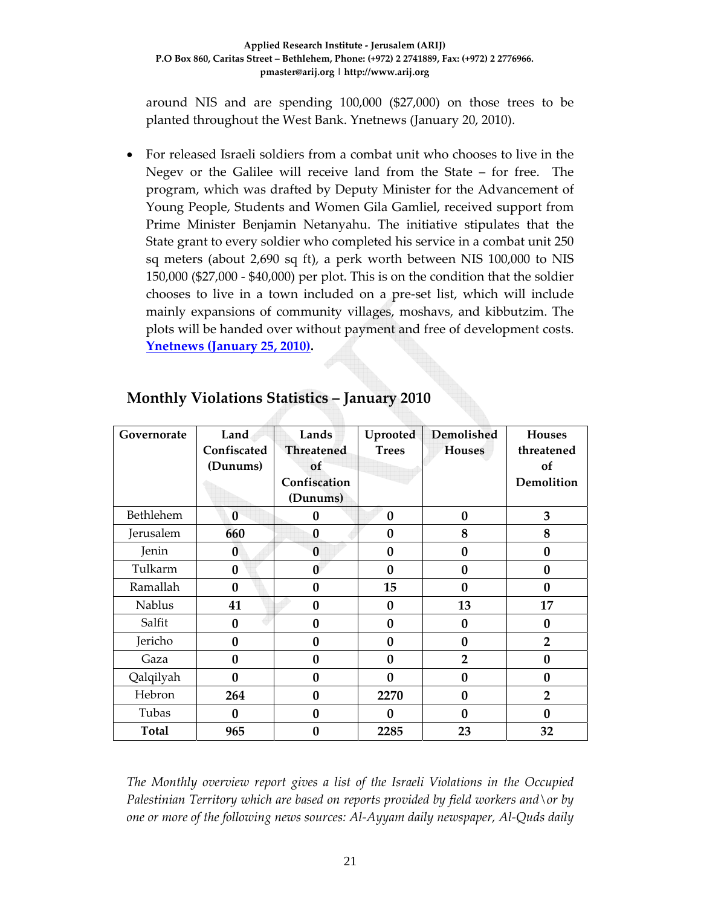around NIS and are spending 100,000 (\$27,000) on those trees to be planted throughout the West Bank. Ynetnews (January 20, 2010).

• For released Israeli soldiers from a combat unit who chooses to live in the Negev or the Galilee will receive land from the State – for free. The program, which was drafted by Deputy Minister for the Advancement of Young People, Students and Women Gila Gamliel, received support from Prime Minister Benjamin Netanyahu. The initiative stipulates that the State grant to every soldier who completed his service in a combat unit 250 sq meters (about 2,690 sq ft), a perk worth between NIS 100,000 to NIS 150,000 (\$27,000 ‐ \$40,000) per plot. This is on the condition that the soldier chooses to live in a town included on a pre‐set list, which will include mainly expansions of community villages, moshavs, and kibbutzim. The plots will be handed over without payment and free of development costs. **Ynetnews (January 25, 2010).**

| Governorate   | Land<br>Confiscated<br>(Dunums) | Lands<br><b>Threatened</b><br>of<br>Confiscation<br>(Dunums) | Uprooted<br><b>Trees</b> | Demolished<br><b>Houses</b> | <b>Houses</b><br>threatened<br>of<br>Demolition |
|---------------|---------------------------------|--------------------------------------------------------------|--------------------------|-----------------------------|-------------------------------------------------|
| Bethlehem     | $\bf{0}$                        | 0                                                            | $\bf{0}$                 | $\bf{0}$                    | 3                                               |
| Jerusalem     | 660                             | $\bf{0}$                                                     | $\bf{0}$                 | 8                           | 8                                               |
| Jenin         | $\bf{0}$                        | $\bf{0}$                                                     | $\bf{0}$                 | $\bf{0}$                    | $\bf{0}$                                        |
| Tulkarm       | $\bf{0}$                        | $\bf{0}$                                                     | $\mathbf{0}$             | $\bf{0}$                    | $\bf{0}$                                        |
| Ramallah      | $\boldsymbol{0}$                | $\boldsymbol{0}$                                             | 15                       | $\bf{0}$                    | $\mathbf{0}$                                    |
| <b>Nablus</b> | 41                              | $\bf{0}$                                                     | $\bf{0}$                 | 13                          | 17                                              |
| Salfit        | 0                               | $\bf{0}$                                                     | $\bf{0}$                 | $\bf{0}$                    | 0                                               |
| Jericho       | 0                               | $\bf{0}$                                                     | $\bf{0}$                 | $\bf{0}$                    | $\overline{2}$                                  |
| Gaza          | 0                               | $\bf{0}$                                                     | $\bf{0}$                 | $\overline{2}$              | $\bf{0}$                                        |
| Qalqilyah     | 0                               | $\bf{0}$                                                     | $\boldsymbol{0}$         | $\bf{0}$                    | $\bf{0}$                                        |
| Hebron        | 264                             | $\bf{0}$                                                     | 2270                     | $\bf{0}$                    | $\overline{2}$                                  |
| Tubas         | 0                               | $\boldsymbol{0}$                                             | 0                        | $\mathbf{0}$                | $\mathbf{0}$                                    |
| <b>Total</b>  | 965                             | $\boldsymbol{0}$                                             | 2285                     | 23                          | 32                                              |

# **Monthly Violations Statistics – January 2010**

*The Monthly overview report gives a list of the Israeli Violations in the Occupied Palestinian Territory which are based on reports provided by field workers and\or by one or more of the following news sources: Al‐Ayyam daily newspaper, Al‐Quds daily*